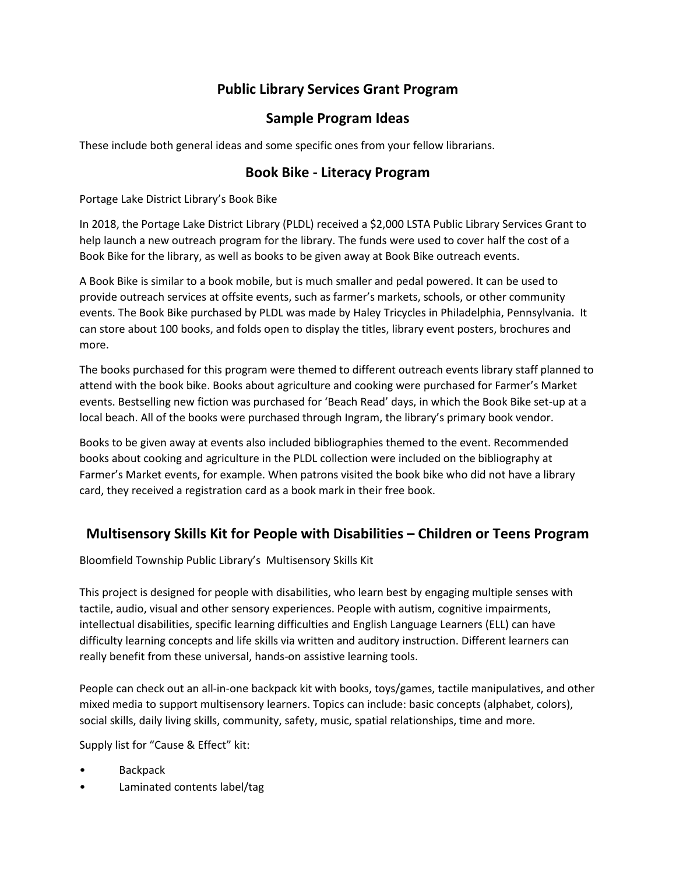# **Public Library Services Grant Program**

## **Sample Program Ideas**

These include both general ideas and some specific ones from your fellow librarians.

### **Book Bike - Literacy Program**

Portage Lake District Library's Book Bike

In 2018, the Portage Lake District Library (PLDL) received a \$2,000 LSTA Public Library Services Grant to help launch a new outreach program for the library. The funds were used to cover half the cost of a Book Bike for the library, as well as books to be given away at Book Bike outreach events.

A Book Bike is similar to a book mobile, but is much smaller and pedal powered. It can be used to provide outreach services at offsite events, such as farmer's markets, schools, or other community events. The Book Bike purchased by PLDL was made by Haley Tricycles in Philadelphia, Pennsylvania. It can store about 100 books, and folds open to display the titles, library event posters, brochures and more.

The books purchased for this program were themed to different outreach events library staff planned to attend with the book bike. Books about agriculture and cooking were purchased for Farmer's Market events. Bestselling new fiction was purchased for 'Beach Read' days, in which the Book Bike set-up at a local beach. All of the books were purchased through Ingram, the library's primary book vendor.

Books to be given away at events also included bibliographies themed to the event. Recommended books about cooking and agriculture in the PLDL collection were included on the bibliography at Farmer's Market events, for example. When patrons visited the book bike who did not have a library card, they received a registration card as a book mark in their free book.

### **Multisensory Skills Kit for People with Disabilities – Children or Teens Program**

Bloomfield Township Public Library's Multisensory Skills Kit

This project is designed for people with disabilities, who learn best by engaging multiple senses with tactile, audio, visual and other sensory experiences. People with autism, cognitive impairments, intellectual disabilities, specific learning difficulties and English Language Learners (ELL) can have difficulty learning concepts and life skills via written and auditory instruction. Different learners can really benefit from these universal, hands-on assistive learning tools.

People can check out an all-in-one backpack kit with books, toys/games, tactile manipulatives, and other mixed media to support multisensory learners. Topics can include: basic concepts (alphabet, colors), social skills, daily living skills, community, safety, music, spatial relationships, time and more.

Supply list for "Cause & Effect" kit:

- **Backpack**
- Laminated contents label/tag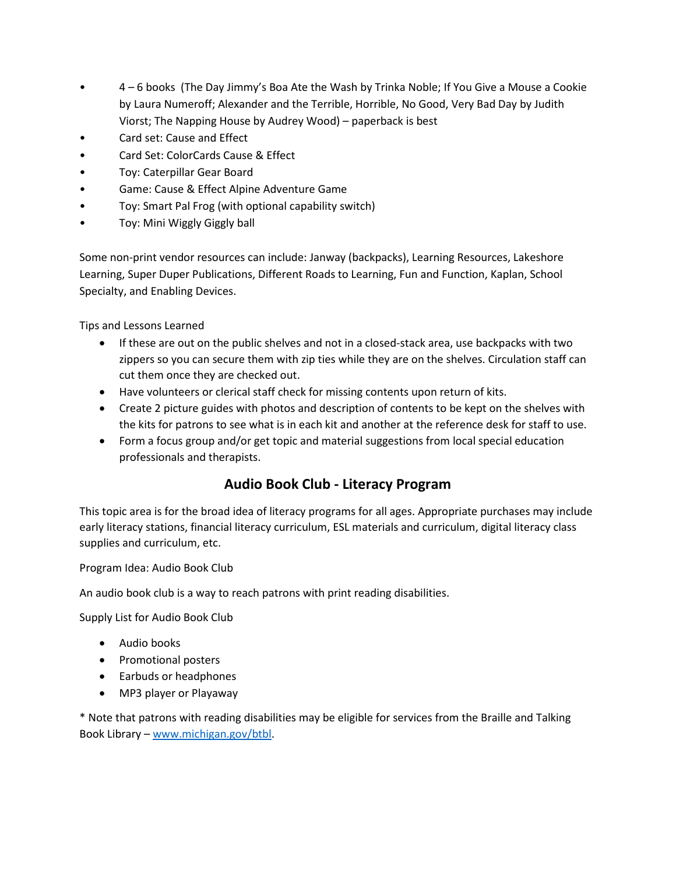- 4 6 books (The Day Jimmy's Boa Ate the Wash by Trinka Noble; If You Give a Mouse a Cookie by Laura Numeroff; Alexander and the Terrible, Horrible, No Good, Very Bad Day by Judith Viorst; The Napping House by Audrey Wood) – paperback is best
- Card set: Cause and Effect
- Card Set: ColorCards Cause & Effect
- Toy: Caterpillar Gear Board
- Game: Cause & Effect Alpine Adventure Game
- Toy: Smart Pal Frog (with optional capability switch)
- Toy: Mini Wiggly Giggly ball

Some non-print vendor resources can include: Janway (backpacks), Learning Resources, Lakeshore Learning, Super Duper Publications, Different Roads to Learning, Fun and Function, Kaplan, School Specialty, and Enabling Devices.

Tips and Lessons Learned

- If these are out on the public shelves and not in a closed-stack area, use backpacks with two zippers so you can secure them with zip ties while they are on the shelves. Circulation staff can cut them once they are checked out.
- Have volunteers or clerical staff check for missing contents upon return of kits.
- Create 2 picture guides with photos and description of contents to be kept on the shelves with the kits for patrons to see what is in each kit and another at the reference desk for staff to use.
- Form a focus group and/or get topic and material suggestions from local special education professionals and therapists.

## **Audio Book Club - Literacy Program**

This topic area is for the broad idea of literacy programs for all ages. Appropriate purchases may include early literacy stations, financial literacy curriculum, ESL materials and curriculum, digital literacy class supplies and curriculum, etc.

Program Idea: Audio Book Club

An audio book club is a way to reach patrons with print reading disabilities.

Supply List for Audio Book Club

- Audio books
- Promotional posters
- Earbuds or headphones
- MP3 player or Playaway

\* Note that patrons with reading disabilities may be eligible for services from the Braille and Talking Book Library – [www.michigan.gov/btbl.](http://www.michigan.gov/btbl)